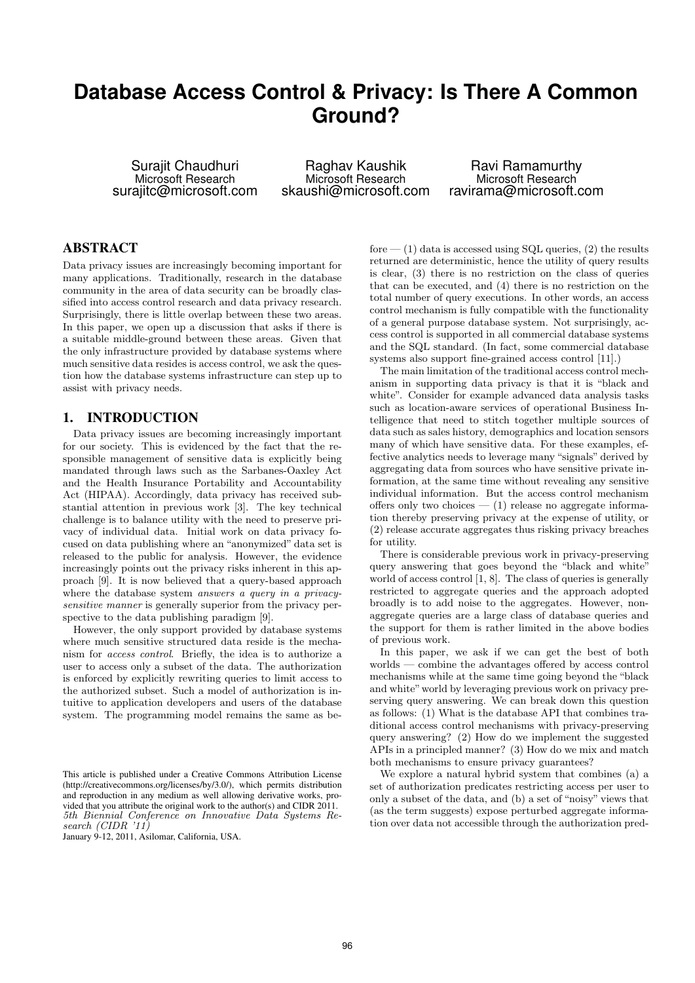# **Database Access Control & Privacy: Is There A Common Ground?**

Surajit Chaudhuri Microsoft Research surajitc@microsoft.com

Raghav Kaushik Microsoft Research skaushi@microsoft.com

Ravi Ramamurthy Microsoft Research ravirama@microsoft.com

### ABSTRACT

Data privacy issues are increasingly becoming important for many applications. Traditionally, research in the database community in the area of data security can be broadly classified into access control research and data privacy research. Surprisingly, there is little overlap between these two areas. In this paper, we open up a discussion that asks if there is a suitable middle-ground between these areas. Given that the only infrastructure provided by database systems where much sensitive data resides is access control, we ask the question how the database systems infrastructure can step up to assist with privacy needs.

### 1. INTRODUCTION

Data privacy issues are becoming increasingly important for our society. This is evidenced by the fact that the responsible management of sensitive data is explicitly being mandated through laws such as the Sarbanes-Oaxley Act and the Health Insurance Portability and Accountability Act (HIPAA). Accordingly, data privacy has received substantial attention in previous work [3]. The key technical challenge is to balance utility with the need to preserve privacy of individual data. Initial work on data privacy focused on data publishing where an "anonymized" data set is released to the public for analysis. However, the evidence increasingly points out the privacy risks inherent in this approach [9]. It is now believed that a query-based approach where the database system *answers a query in a privacy*sensitive manner is generally superior from the privacy perspective to the data publishing paradigm [9].

However, the only support provided by database systems where much sensitive structured data reside is the mechanism for access control. Briefly, the idea is to authorize a user to access only a subset of the data. The authorization is enforced by explicitly rewriting queries to limit access to the authorized subset. Such a model of authorization is intuitive to application developers and users of the database system. The programming model remains the same as be-

fore  $-$  (1) data is accessed using SQL queries, (2) the results returned are deterministic, hence the utility of query results is clear, (3) there is no restriction on the class of queries that can be executed, and (4) there is no restriction on the total number of query executions. In other words, an access control mechanism is fully compatible with the functionality of a general purpose database system. Not surprisingly, access control is supported in all commercial database systems and the SQL standard. (In fact, some commercial database systems also support fine-grained access control [11].)

The main limitation of the traditional access control mechanism in supporting data privacy is that it is "black and white". Consider for example advanced data analysis tasks such as location-aware services of operational Business Intelligence that need to stitch together multiple sources of data such as sales history, demographics and location sensors many of which have sensitive data. For these examples, effective analytics needs to leverage many "signals" derived by aggregating data from sources who have sensitive private information, at the same time without revealing any sensitive individual information. But the access control mechanism offers only two choices  $-$  (1) release no aggregate information thereby preserving privacy at the expense of utility, or (2) release accurate aggregates thus risking privacy breaches for utility.

There is considerable previous work in privacy-preserving query answering that goes beyond the "black and white" world of access control [1, 8]. The class of queries is generally restricted to aggregate queries and the approach adopted broadly is to add noise to the aggregates. However, nonaggregate queries are a large class of database queries and the support for them is rather limited in the above bodies of previous work.

In this paper, we ask if we can get the best of both worlds — combine the advantages offered by access control mechanisms while at the same time going beyond the "black and white" world by leveraging previous work on privacy preserving query answering. We can break down this question as follows: (1) What is the database API that combines traditional access control mechanisms with privacy-preserving query answering? (2) How do we implement the suggested APIs in a principled manner? (3) How do we mix and match both mechanisms to ensure privacy guarantees?

We explore a natural hybrid system that combines (a) a set of authorization predicates restricting access per user to only a subset of the data, and (b) a set of "noisy" views that (as the term suggests) expose perturbed aggregate information over data not accessible through the authorization pred-

This article is published under a Creative Commons Attribution License (http://creativecommons.org/licenses/by/3.0/), which permits distribution and reproduction in any medium as well allowing derivative works, provided that you attribute the original work to the author(s) and CIDR 2011. 5th Biennial Conference on Innovative Data Systems Research (CIDR '11)

January 9-12, 2011, Asilomar, California, USA.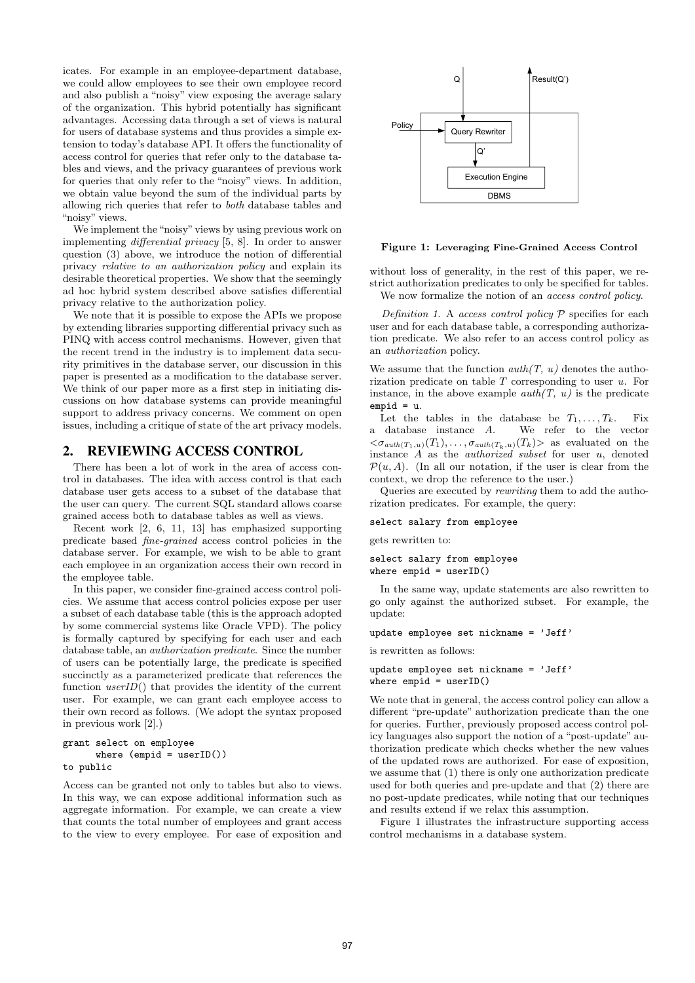icates. For example in an employee-department database, we could allow employees to see their own employee record and also publish a "noisy" view exposing the average salary of the organization. This hybrid potentially has significant advantages. Accessing data through a set of views is natural for users of database systems and thus provides a simple extension to today's database API. It offers the functionality of access control for queries that refer only to the database tables and views, and the privacy guarantees of previous work for queries that only refer to the "noisy" views. In addition, we obtain value beyond the sum of the individual parts by allowing rich queries that refer to both database tables and "noisy" views.

We implement the "noisy" views by using previous work on implementing differential privacy [5, 8]. In order to answer question (3) above, we introduce the notion of differential privacy relative to an authorization policy and explain its desirable theoretical properties. We show that the seemingly ad hoc hybrid system described above satisfies differential privacy relative to the authorization policy.

We note that it is possible to expose the APIs we propose by extending libraries supporting differential privacy such as PINQ with access control mechanisms. However, given that the recent trend in the industry is to implement data security primitives in the database server, our discussion in this paper is presented as a modification to the database server. We think of our paper more as a first step in initiating discussions on how database systems can provide meaningful support to address privacy concerns. We comment on open issues, including a critique of state of the art privacy models.

# 2. REVIEWING ACCESS CONTROL

There has been a lot of work in the area of access control in databases. The idea with access control is that each database user gets access to a subset of the database that the user can query. The current SQL standard allows coarse grained access both to database tables as well as views.

Recent work [2, 6, 11, 13] has emphasized supporting predicate based fine-grained access control policies in the database server. For example, we wish to be able to grant each employee in an organization access their own record in the employee table.

In this paper, we consider fine-grained access control policies. We assume that access control policies expose per user a subset of each database table (this is the approach adopted by some commercial systems like Oracle VPD). The policy is formally captured by specifying for each user and each database table, an authorization predicate. Since the number of users can be potentially large, the predicate is specified succinctly as a parameterized predicate that references the function  $userID()$  that provides the identity of the current user. For example, we can grant each employee access to their own record as follows. (We adopt the syntax proposed in previous work [2].)

```
grant select on employee
      where (empid = userID())to public
```
Access can be granted not only to tables but also to views. In this way, we can expose additional information such as aggregate information. For example, we can create a view that counts the total number of employees and grant access to the view to every employee. For ease of exposition and



#### Figure 1: Leveraging Fine-Grained Access Control

without loss of generality, in the rest of this paper, we restrict authorization predicates to only be specified for tables. We now formalize the notion of an access control policy.

Definition 1. A access control policy  $P$  specifies for each user and for each database table, a corresponding authorization predicate. We also refer to an access control policy as an authorization policy.

We assume that the function  $auth(T, u)$  denotes the authorization predicate on table  $T$  corresponding to user  $u$ . For instance, in the above example  $auth(T, u)$  is the predicate empid = u.

Let the tables in the database be  $T_1, \ldots, T_k$ . Fix<br>a database instance A. We refer to the vector We refer to the vector  $<\sigma_{auth(T_1,u)}(T_1),\ldots,\sigma_{auth(T_k,u)}(T_k)$  as evaluated on the instance  $\overline{A}$  as the *authorized subset* for user  $u$ , denoted  $\mathcal{P}(u, A)$ . (In all our notation, if the user is clear from the context, we drop the reference to the user.)

Queries are executed by rewriting them to add the authorization predicates. For example, the query:

select salary from employee

gets rewritten to:

select salary from employee where  $empid = userID()$ 

In the same way, update statements are also rewritten to go only against the authorized subset. For example, the update:

update employee set nickname = 'Jeff'

is rewritten as follows:

```
update employee set nickname = 'Jeff'
where empid = userID()
```
We note that in general, the access control policy can allow a different "pre-update" authorization predicate than the one for queries. Further, previously proposed access control policy languages also support the notion of a "post-update" authorization predicate which checks whether the new values of the updated rows are authorized. For ease of exposition, we assume that (1) there is only one authorization predicate used for both queries and pre-update and that (2) there are no post-update predicates, while noting that our techniques and results extend if we relax this assumption.

Figure 1 illustrates the infrastructure supporting access control mechanisms in a database system.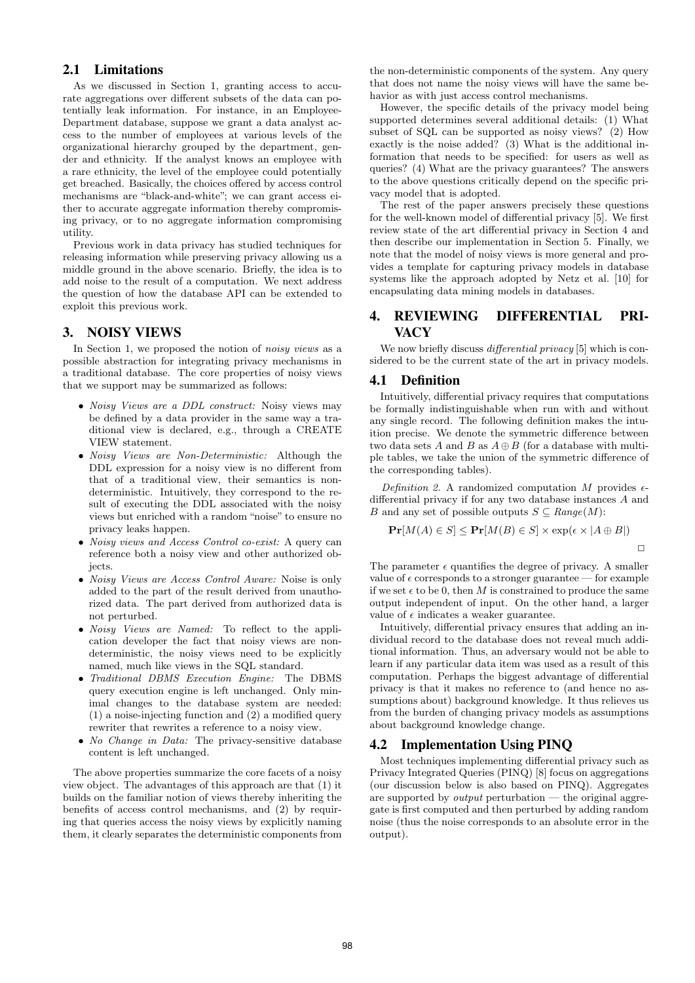# 2.1 Limitations

As we discussed in Section 1, granting access to accurate aggregations over different subsets of the data can potentially leak information. For instance, in an Employee-Department database, suppose we grant a data analyst access to the number of employees at various levels of the organizational hierarchy grouped by the department, gender and ethnicity. If the analyst knows an employee with a rare ethnicity, the level of the employee could potentially get breached. Basically, the choices offered by access control mechanisms are "black-and-white"; we can grant access either to accurate aggregate information thereby compromising privacy, or to no aggregate information compromising utility.

Previous work in data privacy has studied techniques for releasing information while preserving privacy allowing us a middle ground in the above scenario. Briefly, the idea is to add noise to the result of a computation. We next address the question of how the database API can be extended to exploit this previous work.

### 3. NOISY VIEWS

In Section 1, we proposed the notion of noisy views as a possible abstraction for integrating privacy mechanisms in a traditional database. The core properties of noisy views that we support may be summarized as follows:

- *Noisy Views are a DDL construct:* Noisy views may be defined by a data provider in the same way a traditional view is declared, e.g., through a CREATE VIEW statement.
- Noisy Views are Non-Deterministic: Although the DDL expression for a noisy view is no different from that of a traditional view, their semantics is nondeterministic. Intuitively, they correspond to the result of executing the DDL associated with the noisy views but enriched with a random "noise" to ensure no privacy leaks happen.
- Noisy views and Access Control co-exist: A query can reference both a noisy view and other authorized objects.
- Noisy Views are Access Control Aware: Noise is only added to the part of the result derived from unauthorized data. The part derived from authorized data is not perturbed.
- *Noisy Views are Named:* To reflect to the application developer the fact that noisy views are nondeterministic, the noisy views need to be explicitly named, much like views in the SQL standard.
- Traditional DBMS Execution Engine: The DBMS query execution engine is left unchanged. Only minimal changes to the database system are needed: (1) a noise-injecting function and (2) a modified query rewriter that rewrites a reference to a noisy view.
- No Change in Data: The privacy-sensitive database content is left unchanged.

The above properties summarize the core facets of a noisy view object. The advantages of this approach are that (1) it builds on the familiar notion of views thereby inheriting the benefits of access control mechanisms, and (2) by requiring that queries access the noisy views by explicitly naming them, it clearly separates the deterministic components from

the non-deterministic components of the system. Any query that does not name the noisy views will have the same behavior as with just access control mechanisms.

However, the specific details of the privacy model being supported determines several additional details: (1) What subset of SQL can be supported as noisy views? (2) How exactly is the noise added? (3) What is the additional information that needs to be specified: for users as well as queries? (4) What are the privacy guarantees? The answers to the above questions critically depend on the specific privacy model that is adopted.

The rest of the paper answers precisely these questions for the well-known model of differential privacy [5]. We first review state of the art differential privacy in Section 4 and then describe our implementation in Section 5. Finally, we note that the model of noisy views is more general and provides a template for capturing privacy models in database systems like the approach adopted by Netz et al. [10] for encapsulating data mining models in databases.

# 4. REVIEWING DIFFERENTIAL PRI-**VACY**

We now briefly discuss *differential privacy* [5] which is considered to be the current state of the art in privacy models.

# 4.1 Definition

Intuitively, differential privacy requires that computations be formally indistinguishable when run with and without any single record. The following definition makes the intuition precise. We denote the symmetric difference between two data sets A and B as  $A \oplus B$  (for a database with multiple tables, we take the union of the symmetric difference of the corresponding tables).

Definition 2. A randomized computation  $M$  provides  $\epsilon$ differential privacy if for any two database instances A and B and any set of possible outputs  $S \subseteq Range(M)$ :

$$
\mathbf{Pr}[M(A) \in S] \le \mathbf{Pr}[M(B) \in S] \times \exp(\epsilon \times |A \oplus B|)
$$

 $\Box$ 

The parameter  $\epsilon$  quantifies the degree of privacy. A smaller value of  $\epsilon$  corresponds to a stronger guarantee — for example if we set  $\epsilon$  to be 0, then M is constrained to produce the same output independent of input. On the other hand, a larger value of  $\epsilon$  indicates a weaker guarantee.

Intuitively, differential privacy ensures that adding an individual record to the database does not reveal much additional information. Thus, an adversary would not be able to learn if any particular data item was used as a result of this computation. Perhaps the biggest advantage of differential privacy is that it makes no reference to (and hence no assumptions about) background knowledge. It thus relieves us from the burden of changing privacy models as assumptions about background knowledge change.

# 4.2 Implementation Using PINQ

Most techniques implementing differential privacy such as Privacy Integrated Queries (PINQ) [8] focus on aggregations (our discussion below is also based on PINQ). Aggregates are supported by *output* perturbation — the original aggregate is first computed and then perturbed by adding random noise (thus the noise corresponds to an absolute error in the output).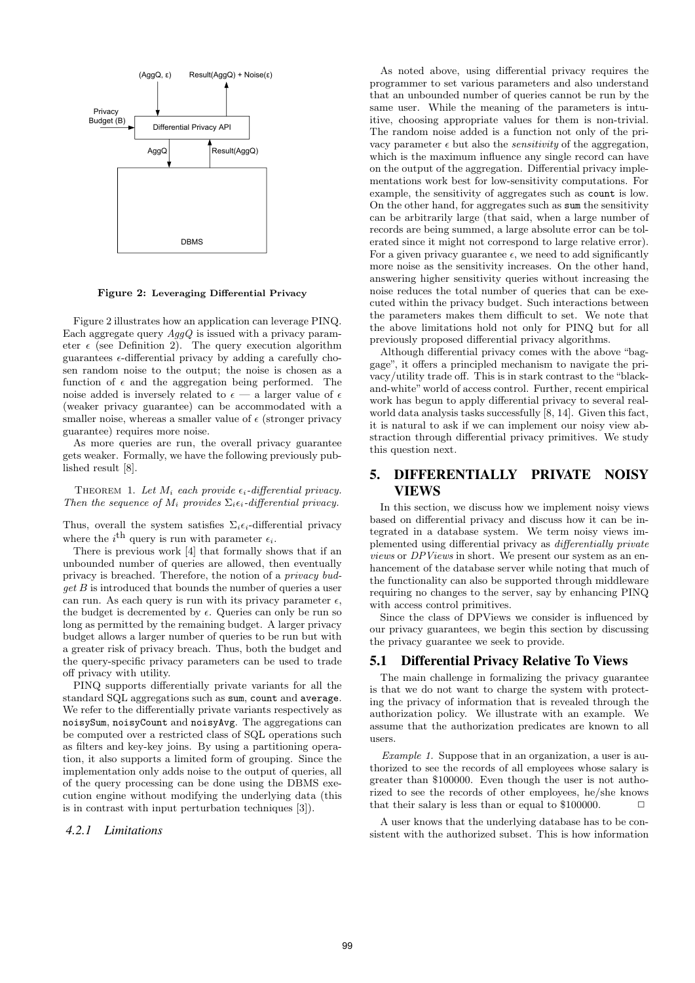

Figure 2: Leveraging Differential Privacy

Figure 2 illustrates how an application can leverage PINQ. Each aggregate query  $AggQ$  is issued with a privacy parameter  $\epsilon$  (see Definition 2). The query execution algorithm guarantees  $\epsilon$ -differential privacy by adding a carefully chosen random noise to the output; the noise is chosen as a function of  $\epsilon$  and the aggregation being performed. The noise added is inversely related to  $\epsilon$  — a larger value of  $\epsilon$ (weaker privacy guarantee) can be accommodated with a smaller noise, whereas a smaller value of  $\epsilon$  (stronger privacy guarantee) requires more noise.

As more queries are run, the overall privacy guarantee gets weaker. Formally, we have the following previously published result [8].

THEOREM 1. Let  $M_i$  each provide  $\epsilon_i$ -differential privacy. Then the sequence of  $M_i$  provides  $\Sigma_i \epsilon_i$ -differential privacy.

Thus, overall the system satisfies  $\Sigma_i \epsilon_i$ -differential privacy where the  $i^{\text{th}}$  query is run with parameter  $\epsilon_i$ .

There is previous work [4] that formally shows that if an unbounded number of queries are allowed, then eventually privacy is breached. Therefore, the notion of a privacy budget B is introduced that bounds the number of queries a user can run. As each query is run with its privacy parameter  $\epsilon$ , the budget is decremented by  $\epsilon$ . Queries can only be run so long as permitted by the remaining budget. A larger privacy budget allows a larger number of queries to be run but with a greater risk of privacy breach. Thus, both the budget and the query-specific privacy parameters can be used to trade off privacy with utility.

PINQ supports differentially private variants for all the standard SQL aggregations such as sum, count and average. We refer to the differentially private variants respectively as noisySum, noisyCount and noisyAvg. The aggregations can be computed over a restricted class of SQL operations such as filters and key-key joins. By using a partitioning operation, it also supports a limited form of grouping. Since the implementation only adds noise to the output of queries, all of the query processing can be done using the DBMS execution engine without modifying the underlying data (this is in contrast with input perturbation techniques [3]).

#### *4.2.1 Limitations*

As noted above, using differential privacy requires the programmer to set various parameters and also understand that an unbounded number of queries cannot be run by the same user. While the meaning of the parameters is intuitive, choosing appropriate values for them is non-trivial. The random noise added is a function not only of the privacy parameter  $\epsilon$  but also the *sensitivity* of the aggregation, which is the maximum influence any single record can have on the output of the aggregation. Differential privacy implementations work best for low-sensitivity computations. For example, the sensitivity of aggregates such as count is low. On the other hand, for aggregates such as sum the sensitivity can be arbitrarily large (that said, when a large number of records are being summed, a large absolute error can be tolerated since it might not correspond to large relative error). For a given privacy guarantee  $\epsilon$ , we need to add significantly more noise as the sensitivity increases. On the other hand, answering higher sensitivity queries without increasing the noise reduces the total number of queries that can be executed within the privacy budget. Such interactions between the parameters makes them difficult to set. We note that the above limitations hold not only for PINQ but for all previously proposed differential privacy algorithms.

Although differential privacy comes with the above "baggage", it offers a principled mechanism to navigate the privacy/utility trade off. This is in stark contrast to the "blackand-white" world of access control. Further, recent empirical work has begun to apply differential privacy to several realworld data analysis tasks successfully [8, 14]. Given this fact, it is natural to ask if we can implement our noisy view abstraction through differential privacy primitives. We study this question next.

# 5. DIFFERENTIALLY PRIVATE NOISY VIEWS

In this section, we discuss how we implement noisy views based on differential privacy and discuss how it can be integrated in a database system. We term noisy views implemented using differential privacy as differentially private views or DPViews in short. We present our system as an enhancement of the database server while noting that much of the functionality can also be supported through middleware requiring no changes to the server, say by enhancing PINQ with access control primitives.

Since the class of DPViews we consider is influenced by our privacy guarantees, we begin this section by discussing the privacy guarantee we seek to provide.

### 5.1 Differential Privacy Relative To Views

The main challenge in formalizing the privacy guarantee is that we do not want to charge the system with protecting the privacy of information that is revealed through the authorization policy. We illustrate with an example. We assume that the authorization predicates are known to all users.

Example 1. Suppose that in an organization, a user is authorized to see the records of all employees whose salary is greater than \$100000. Even though the user is not authorized to see the records of other employees, he/she knows that their salary is less than or equal to  $$100000$ .  $\Box$ 

A user knows that the underlying database has to be consistent with the authorized subset. This is how information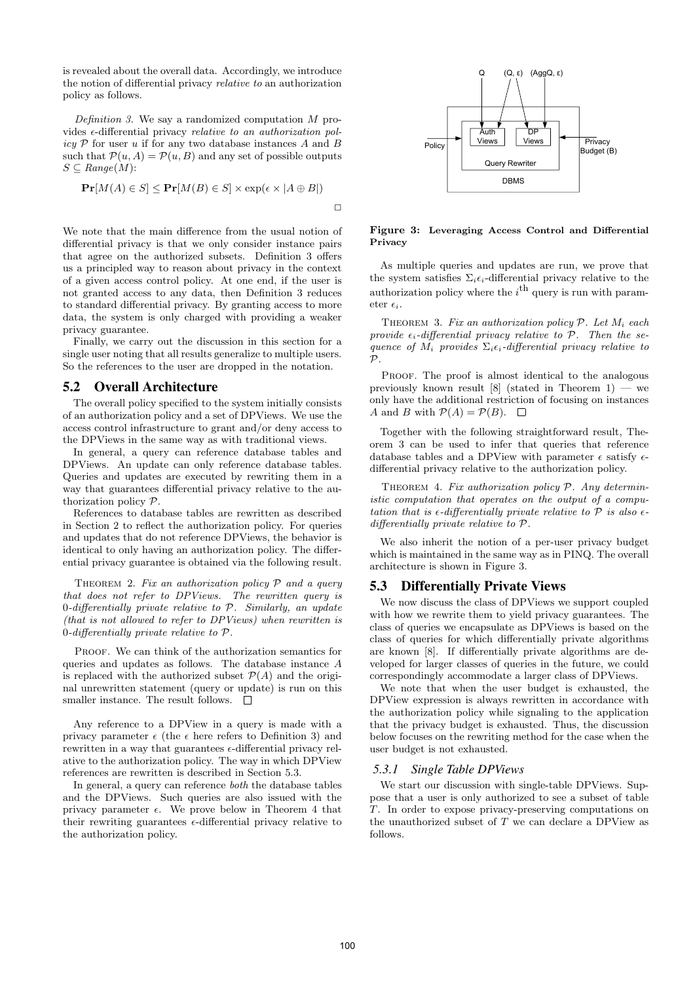is revealed about the overall data. Accordingly, we introduce the notion of differential privacy relative to an authorization policy as follows.

Definition 3. We say a randomized computation  $M$  provides  $\epsilon$ -differential privacy *relative to an authorization pol*icy  $P$  for user u if for any two database instances A and B such that  $\mathcal{P}(u, A) = \mathcal{P}(u, B)$  and any set of possible outputs  $S \subseteq Range(M)$ :

$$
\mathbf{Pr}[M(A) \in S] \le \mathbf{Pr}[M(B) \in S] \times \exp(\epsilon \times |A \oplus B|)
$$

We note that the main difference from the usual notion of differential privacy is that we only consider instance pairs that agree on the authorized subsets. Definition 3 offers us a principled way to reason about privacy in the context of a given access control policy. At one end, if the user is not granted access to any data, then Definition 3 reduces to standard differential privacy. By granting access to more data, the system is only charged with providing a weaker privacy guarantee.

Finally, we carry out the discussion in this section for a single user noting that all results generalize to multiple users. So the references to the user are dropped in the notation.

### 5.2 Overall Architecture

The overall policy specified to the system initially consists of an authorization policy and a set of DPViews. We use the access control infrastructure to grant and/or deny access to the DPViews in the same way as with traditional views.

In general, a query can reference database tables and DPViews. An update can only reference database tables. Queries and updates are executed by rewriting them in a way that guarantees differential privacy relative to the authorization policy P.

References to database tables are rewritten as described in Section 2 to reflect the authorization policy. For queries and updates that do not reference DPViews, the behavior is identical to only having an authorization policy. The differential privacy guarantee is obtained via the following result.

THEOREM 2. Fix an authorization policy  $P$  and a query that does not refer to DPViews. The rewritten query is 0-differentially private relative to  $P$ . Similarly, an update (that is not allowed to refer to DPViews) when rewritten is 0-differentially private relative to P.

PROOF. We can think of the authorization semantics for queries and updates as follows. The database instance A is replaced with the authorized subset  $\mathcal{P}(A)$  and the original unrewritten statement (query or update) is run on this smaller instance. The result follows.  $\Box$ 

Any reference to a DPView in a query is made with a privacy parameter  $\epsilon$  (the  $\epsilon$  here refers to Definition 3) and rewritten in a way that guarantees  $\epsilon$ -differential privacy relative to the authorization policy. The way in which DPView references are rewritten is described in Section 5.3.

In general, a query can reference both the database tables and the DPViews. Such queries are also issued with the privacy parameter  $\epsilon$ . We prove below in Theorem 4 that their rewriting guarantees  $\epsilon$ -differential privacy relative to the authorization policy.



#### Figure 3: Leveraging Access Control and Differential Privacy

As multiple queries and updates are run, we prove that the system satisfies  $\Sigma_i \epsilon_i$ -differential privacy relative to the authorization policy where the  $i^{\text{th}}$  query is run with parameter  $\epsilon$ .

THEOREM 3. Fix an authorization policy  $P$ . Let  $M_i$  each provide  $\epsilon_i$ -differential privacy relative to  $\mathcal{P}$ . Then the sequence of  $M_i$  provides  $\Sigma_i \epsilon_i$ -differential privacy relative to  $\mathcal{D}$ 

PROOF. The proof is almost identical to the analogous previously known result  $[8]$  (stated in Theorem 1) — we only have the additional restriction of focusing on instances A and B with  $P(A) = P(B)$ .  $\Box$ 

Together with the following straightforward result, Theorem 3 can be used to infer that queries that reference database tables and a DPView with parameter  $\epsilon$  satisfy  $\epsilon$ differential privacy relative to the authorization policy.

THEOREM 4. Fix authorization policy  $P$ . Any deterministic computation that operates on the output of a computation that is  $\epsilon$ -differentially private relative to  $\mathcal P$  is also  $\epsilon$ differentially private relative to P.

We also inherit the notion of a per-user privacy budget which is maintained in the same way as in PINQ. The overall architecture is shown in Figure 3.

# 5.3 Differentially Private Views

We now discuss the class of DPViews we support coupled with how we rewrite them to yield privacy guarantees. The class of queries we encapsulate as DPViews is based on the class of queries for which differentially private algorithms are known [8]. If differentially private algorithms are developed for larger classes of queries in the future, we could correspondingly accommodate a larger class of DPViews.

We note that when the user budget is exhausted, the DPView expression is always rewritten in accordance with the authorization policy while signaling to the application that the privacy budget is exhausted. Thus, the discussion below focuses on the rewriting method for the case when the user budget is not exhausted.

### *5.3.1 Single Table DPViews*

We start our discussion with single-table DPViews. Suppose that a user is only authorized to see a subset of table T. In order to expose privacy-preserving computations on the unauthorized subset of  $T$  we can declare a DPView as follows.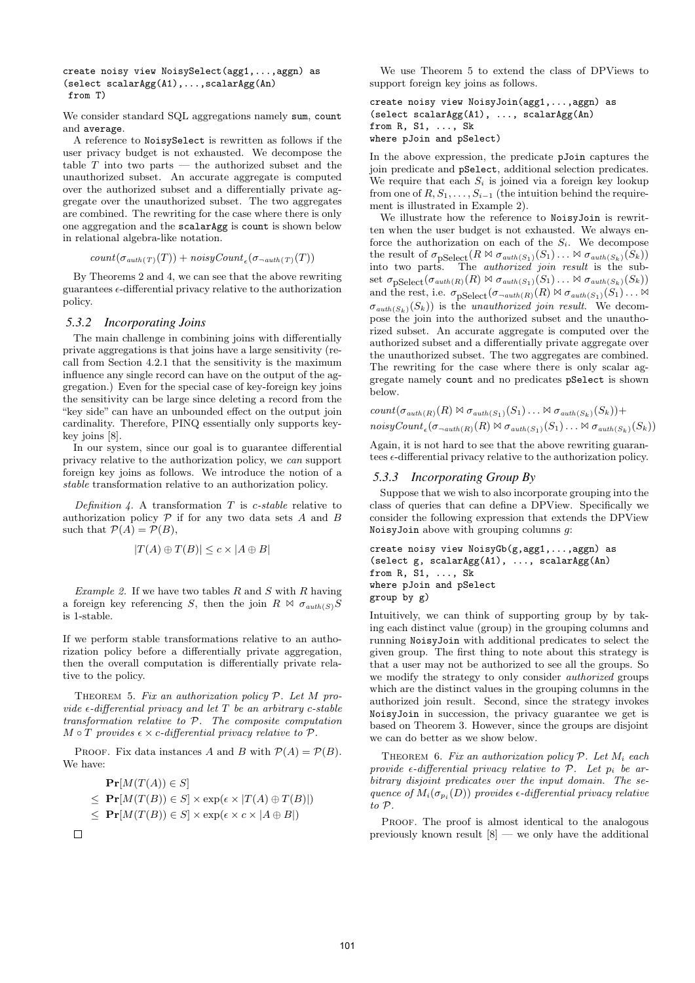```
create noisy view NoisySelect(agg1,...,aggn) as
(select scalarAgg(A1),...,scalarAgg(An)
from T)
```
We consider standard SQL aggregations namely sum, count and average.

A reference to NoisySelect is rewritten as follows if the user privacy budget is not exhausted. We decompose the table  $T$  into two parts  $-$  the authorized subset and the unauthorized subset. An accurate aggregate is computed over the authorized subset and a differentially private aggregate over the unauthorized subset. The two aggregates are combined. The rewriting for the case where there is only one aggregation and the scalarAgg is count is shown below in relational algebra-like notation.

```
count(\sigma_{auth(T)}(T)) + noisyCount_{\epsilon}(\sigma_{\neg \textit{auth}(T)}(T))
```
By Theorems 2 and 4, we can see that the above rewriting guarantees  $\epsilon$ -differential privacy relative to the authorization policy.

#### *5.3.2 Incorporating Joins*

The main challenge in combining joins with differentially private aggregations is that joins have a large sensitivity (recall from Section 4.2.1 that the sensitivity is the maximum influence any single record can have on the output of the aggregation.) Even for the special case of key-foreign key joins the sensitivity can be large since deleting a record from the "key side" can have an unbounded effect on the output join cardinality. Therefore, PINQ essentially only supports keykey joins [8].

In our system, since our goal is to guarantee differential privacy relative to the authorization policy, we can support foreign key joins as follows. We introduce the notion of a stable transformation relative to an authorization policy.

Definition 4. A transformation  $T$  is c-stable relative to authorization policy  $P$  if for any two data sets  $A$  and  $B$ such that  $\mathcal{P}(A) = \mathcal{P}(B)$ ,

$$
|T(A) \oplus T(B)| \leq c \times |A \oplus B|
$$

*Example 2.* If we have two tables  $R$  and  $S$  with  $R$  having a foreign key referencing S, then the join  $R \bowtie \sigma_{auth(S)}S$ is 1-stable.

If we perform stable transformations relative to an authorization policy before a differentially private aggregation, then the overall computation is differentially private relative to the policy.

THEOREM 5. Fix an authorization policy  $P$ . Let M provide  $\epsilon$ -differential privacy and let T be an arbitrary c-stable transformation relative to P. The composite computation  $M \circ T$  provides  $\epsilon \times c$ -differential privacy relative to  $\mathcal{P}$ .

PROOF. Fix data instances A and B with  $P(A) = P(B)$ . We have:

$$
\mathbf{Pr}[M(T(A)) \in S]
$$
  
\n
$$
\leq \mathbf{Pr}[M(T(B)) \in S] \times \exp(\epsilon \times |T(A) \oplus T(B)|)
$$
  
\n
$$
\leq \mathbf{Pr}[M(T(B)) \in S] \times \exp(\epsilon \times c \times |A \oplus B|)
$$

We use Theorem 5 to extend the class of DPViews to support foreign key joins as follows.

```
create noisy view NoisyJoin(agg1,...,aggn) as
(select scalarAgg(A1), ..., scalarAgg(An)
from R, S1, ..., Sk
where pJoin and pSelect)
```
In the above expression, the predicate pJoin captures the join predicate and pSelect, additional selection predicates. We require that each  $S_i$  is joined via a foreign key lookup from one of  $R, S_1, \ldots, S_{i-1}$  (the intuition behind the requirement is illustrated in Example 2).

We illustrate how the reference to NoisyJoin is rewritten when the user budget is not exhausted. We always enforce the authorization on each of the  $S_i$ . We decompose the result of  $\sigma_{\text{pSelect}}(R \bowtie \sigma_{\text{auth}(S_1)}(S_1) \dots \bowtie \sigma_{\text{auth}(S_k)}(S_k))$ into two parts. The authorized join result is the subset  $\sigma_{\text{pSelect}}(\sigma_{auth(R)}(R) \bowtie \sigma_{auth(S_1)}(S_1) \ldots \bowtie \sigma_{auth(S_k)}(S_k))$ and the rest, i.e.  $\sigma_{\text{pSelect}}(\sigma_{\neg \text{auth}(R)}(R) \bowtie \sigma_{\text{auth}(S_1)}(S_1) \dots \bowtie$  $\sigma_{auth(S_k)}(S_k)$  is the unauthorized join result. We decompose the join into the authorized subset and the unauthorized subset. An accurate aggregate is computed over the authorized subset and a differentially private aggregate over the unauthorized subset. The two aggregates are combined. The rewriting for the case where there is only scalar aggregate namely count and no predicates pSelect is shown below.

count
$$
(\sigma_{auth(R)}(R) \bowtie \sigma_{auth(S_1)}(S_1) \dots \bowtie \sigma_{auth(S_k)}(S_k))
$$
+  
noisyCount <sub>$\epsilon$</sub>  $(\sigma_{auth(R)}(R) \bowtie \sigma_{auth(S_1)}(S_1) \dots \bowtie \sigma_{auth(S_k)}(S_k))$ 

Again, it is not hard to see that the above rewriting guarantees  $\epsilon$ -differential privacy relative to the authorization policy.

#### *5.3.3 Incorporating Group By*

Suppose that we wish to also incorporate grouping into the class of queries that can define a DPView. Specifically we consider the following expression that extends the DPView NoisyJoin above with grouping columns  $g$ :

```
create noisy view NoisyGb(g,agg1,...,aggn) as
(select g, scalarAgg(A1), ..., scalarAgg(An)
from R, S1, ..., Sk
where pJoin and pSelect
group by g)
```
Intuitively, we can think of supporting group by by taking each distinct value (group) in the grouping columns and running NoisyJoin with additional predicates to select the given group. The first thing to note about this strategy is that a user may not be authorized to see all the groups. So we modify the strategy to only consider *authorized* groups which are the distinct values in the grouping columns in the authorized join result. Second, since the strategy invokes NoisyJoin in succession, the privacy guarantee we get is based on Theorem 3. However, since the groups are disjoint we can do better as we show below.

THEOREM 6. Fix an authorization policy  $P$ . Let  $M_i$  each provide  $\epsilon$ -differential privacy relative to  $\mathcal{P}$ . Let  $p_i$  be arbitrary disjoint predicates over the input domain. The sequence of  $M_i(\sigma_{p_i}(D))$  provides  $\epsilon$ -differential privacy relative to P.

PROOF. The proof is almost identical to the analogous previously known result  $[8]$  — we only have the additional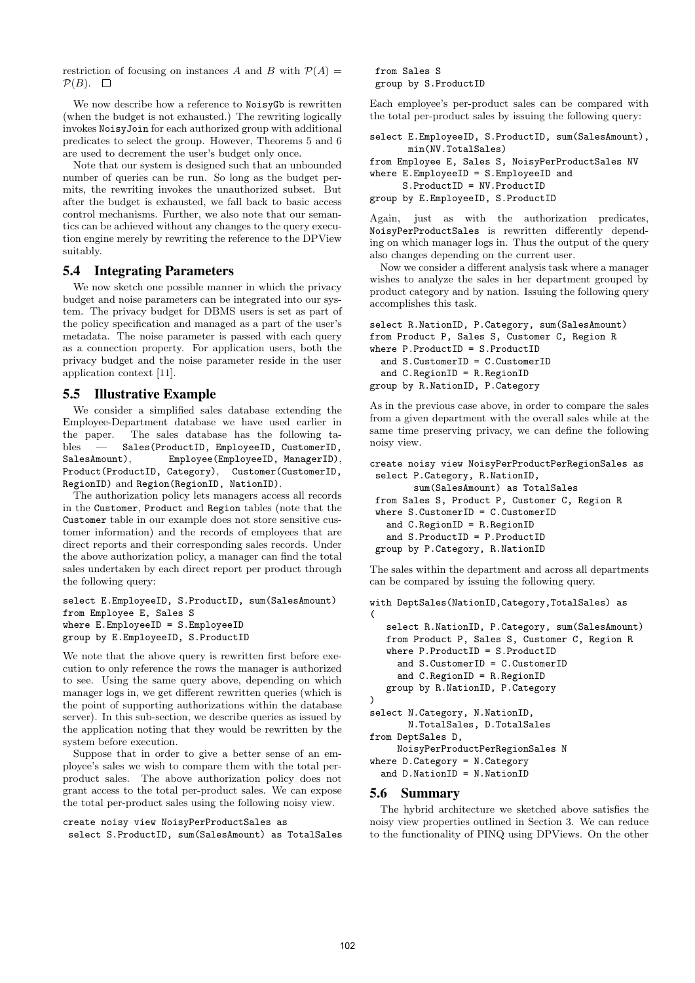restriction of focusing on instances A and B with  $P(A) =$  $\mathcal{P}(B)$ .  $\Box$ 

We now describe how a reference to NoisyGb is rewritten (when the budget is not exhausted.) The rewriting logically invokes NoisyJoin for each authorized group with additional predicates to select the group. However, Theorems 5 and 6 are used to decrement the user's budget only once.

Note that our system is designed such that an unbounded number of queries can be run. So long as the budget permits, the rewriting invokes the unauthorized subset. But after the budget is exhausted, we fall back to basic access control mechanisms. Further, we also note that our semantics can be achieved without any changes to the query execution engine merely by rewriting the reference to the DPView suitably.

# 5.4 Integrating Parameters

We now sketch one possible manner in which the privacy budget and noise parameters can be integrated into our system. The privacy budget for DBMS users is set as part of the policy specification and managed as a part of the user's metadata. The noise parameter is passed with each query as a connection property. For application users, both the privacy budget and the noise parameter reside in the user application context [11].

# 5.5 Illustrative Example

We consider a simplified sales database extending the Employee-Department database we have used earlier in the paper. The sales database has the following tables — Sales(ProductID, EmployeeID, CustomerID, SalesAmount), Employee(EmployeeID, ManagerID), Product(ProductID, Category), Customer(CustomerID, RegionID) and Region(RegionID, NationID).

The authorization policy lets managers access all records in the Customer, Product and Region tables (note that the Customer table in our example does not store sensitive customer information) and the records of employees that are direct reports and their corresponding sales records. Under the above authorization policy, a manager can find the total sales undertaken by each direct report per product through the following query:

```
select E.EmployeeID, S.ProductID, sum(SalesAmount)
from Employee E, Sales S
where E.EmployeeID = S.EmployeeID
group by E.EmployeeID, S.ProductID
```
We note that the above query is rewritten first before execution to only reference the rows the manager is authorized to see. Using the same query above, depending on which manager logs in, we get different rewritten queries (which is the point of supporting authorizations within the database server). In this sub-section, we describe queries as issued by the application noting that they would be rewritten by the system before execution.

Suppose that in order to give a better sense of an employee's sales we wish to compare them with the total perproduct sales. The above authorization policy does not grant access to the total per-product sales. We can expose the total per-product sales using the following noisy view.

```
create noisy view NoisyPerProductSales as
```

```
select S.ProductID, sum(SalesAmount) as TotalSales
```
from Sales S group by S.ProductID

Each employee's per-product sales can be compared with the total per-product sales by issuing the following query:

```
select E.EmployeeID, S.ProductID, sum(SalesAmount),
      min(NV.TotalSales)
from Employee E, Sales S, NoisyPerProductSales NV
where E.EmployeeID = S.EmployeeID and
     S.ProductID = NV.ProductID
group by E.EmployeeID, S.ProductID
```
Again, just as with the authorization predicates, NoisyPerProductSales is rewritten differently depending on which manager logs in. Thus the output of the query also changes depending on the current user.

Now we consider a different analysis task where a manager wishes to analyze the sales in her department grouped by product category and by nation. Issuing the following query accomplishes this task.

```
select R.NationID, P.Category, sum(SalesAmount)
from Product P, Sales S, Customer C, Region R
where P.ProductID = S.ProductID
  and S.CustomerID = C.CustomerID
  and C.RegionID = R.RegionID
group by R.NationID, P.Category
```
As in the previous case above, in order to compare the sales from a given department with the overall sales while at the same time preserving privacy, we can define the following noisy view.

```
create noisy view NoisyPerProductPerRegionSales as
select P.Category, R.NationID,
       sum(SalesAmount) as TotalSales
from Sales S, Product P, Customer C, Region R
where S.CustomerID = C.CustomerID
  and C.RegionID = R.RegionID
  and S.ProductID = P.ProductID
group by P.Category, R.NationID
```
The sales within the department and across all departments can be compared by issuing the following query.

```
with DeptSales(NationID,Category,TotalSales) as
(
   select R.NationID, P.Category, sum(SalesAmount)
   from Product P, Sales S, Customer C, Region R
   where P.ProductID = S.ProductID
     and S.CustomerID = C.CustomerID
     and C.RegionID = R.RegionID
   group by R.NationID, P.Category
\lambdaselect N.Category, N.NationID,
       N.TotalSales, D.TotalSales
from DeptSales D,
     NoisyPerProductPerRegionSales N
where D.Category = N.Category
  and D.NationID = N.NationID
```
# 5.6 Summary

The hybrid architecture we sketched above satisfies the noisy view properties outlined in Section 3. We can reduce to the functionality of PINQ using DPViews. On the other